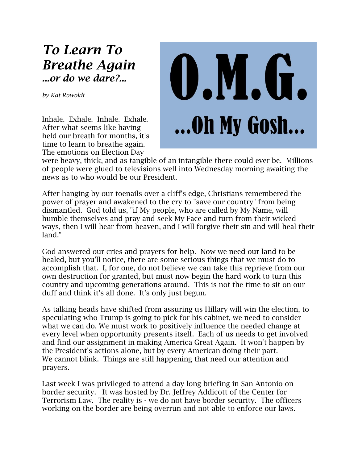## *To Learn To Breathe Again ...or do we dare?...*

*by Kat Rowoldt*

Inhale. Exhale. Inhale. Exhale. After what seems like having held our breath for months, it's time to learn to breathe again. The emotions on Election Day



were heavy, thick, and as tangible of an intangible there could ever be. Millions of people were glued to televisions well into Wednesday morning awaiting the news as to who would be our President.

After hanging by our toenails over a cliff's edge, Christians remembered the power of prayer and awakened to the cry to "save our country" from being dismantled. God told us, "if My people, who are called by My Name, will humble themselves and pray and seek My Face and turn from their wicked ways, then I will hear from heaven, and I will forgive their sin and will heal their land."

God answered our cries and prayers for help. Now we need our land to be healed, but you'll notice, there are some serious things that we must do to accomplish that. I, for one, do not believe we can take this reprieve from our own destruction for granted, but must now begin the hard work to turn this country and upcoming generations around. This is not the time to sit on our duff and think it's all done. It's only just begun.

As talking heads have shifted from assuring us Hillary will win the election, to speculating who Trump is going to pick for his cabinet, we need to consider what we can do. We must work to positively influence the needed change at every level when opportunity presents itself. Each of us needs to get involved and find our assignment in making America Great Again. It won't happen by the President's actions alone, but by every American doing their part. We cannot blink. Things are still happening that need our attention and prayers.

Last week I was privileged to attend a day long briefing in San Antonio on border security. It was hosted by Dr. Jeffrey Addicott of the Center for Terrorism Law. The reality is - we do not have border security. The officers working on the border are being overrun and not able to enforce our laws.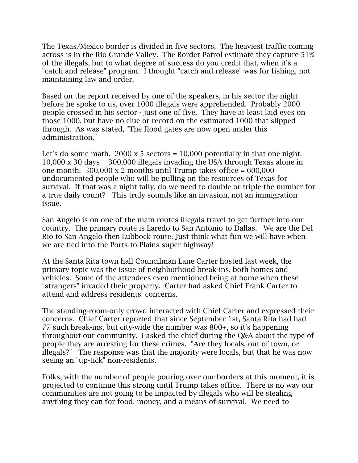The Texas/Mexico border is divided in five sectors. The heaviest traffic coming across is in the Rio Grande Valley. The Border Patrol estimate they capture 51% of the illegals, but to what degree of success do you credit that, when it's a "catch and release" program. I thought "catch and release" was for fishing, not maintaining law and order.

Based on the report received by one of the speakers, in his sector the night before he spoke to us, over 1000 illegals were apprehended. Probably 2000 people crossed in his sector - just one of five. They have at least laid eyes on those 1000, but have no clue or record on the estimated 1000 that slipped through. As was stated, "The flood gates are now open under this administration."

Let's do some math. 2000 x 5 sectors =  $10,000$  potentially in that one night. 10,000 x 30 days = 300,000 illegals invading the USA through Texas alone in one month.  $300,000 \times 2$  months until Trump takes office =  $600,000$ undocumented people who will be pulling on the resources of Texas for survival. If that was a night tally, do we need to double or triple the number for a true daily count? This truly sounds like an invasion, not an immigration issue.

San Angelo is on one of the main routes illegals travel to get further into our country. The primary route is Laredo to San Antonio to Dallas. We are the Del Rio to San Angelo then Lubbock route. Just think what fun we will have when we are tied into the Ports-to-Plains super highway!

At the Santa Rita town hall Councilman Lane Carter hosted last week, the primary topic was the issue of neighborhood break-ins, both homes and vehicles. Some of the attendees even mentioned being at home when these "strangers" invaded their property. Carter had asked Chief Frank Carter to attend and address residents' concerns.

The standing-room-only crowd interacted with Chief Carter and expressed their concerns. Chief Carter reported that since September 1st, Santa Rita had had 77 such break-ins, but city-wide the number was 800+, so it's happening throughout our community. I asked the chief during the Q&A about the type of people they are arresting for these crimes. "Are they locals, out of town, or illegals?" The response was that the majority were locals, but that he was now seeing an "up-tick" non-residents.

Folks, with the number of people pouring over our borders at this moment, it is projected to continue this strong until Trump takes office. There is no way our communities are not going to be impacted by illegals who will be stealing anything they can for food, money, and a means of survival. We need to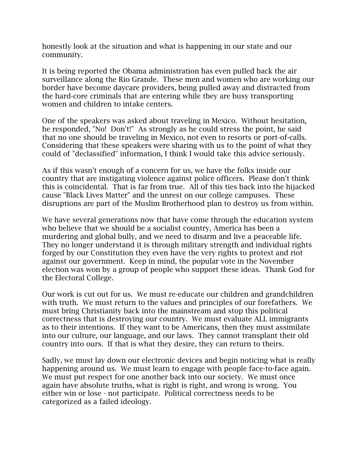honestly look at the situation and what is happening in our state and our community.

It is being reported the Obama administration has even pulled back the air surveillance along the Rio Grande. These men and women who are working our border have become daycare providers, being pulled away and distracted from the hard-core criminals that are entering while they are busy transporting women and children to intake centers.

One of the speakers was asked about traveling in Mexico. Without hesitation, he responded, "No! Don't!" As strongly as he could stress the point, he said that no one should be traveling in Mexico, not even to resorts or port-of-calls. Considering that these speakers were sharing with us to the point of what they could of "declassified" information, I think I would take this advice seriously.

As if this wasn't enough of a concern for us, we have the folks inside our country that are instigating violence against police officers. Please don't think this is coincidental. That is far from true. All of this ties back into the hijacked cause "Black Lives Matter" and the unrest on our college campuses. These disruptions are part of the Muslim Brotherhood plan to destroy us from within.

We have several generations now that have come through the education system who believe that we should be a socialist country, America has been a murdering and global bully, and we need to disarm and live a peaceable life. They no longer understand it is through military strength and individual rights forged by our Constitution they even have the very rights to protest and riot against our government. Keep in mind, the popular vote in the November election was won by a group of people who support these ideas. Thank God for the Electoral College.

Our work is cut out for us. We must re-educate our children and grandchildren with truth. We must return to the values and principles of our forefathers. We must bring Christianity back into the mainstream and stop this political correctness that is destroying our country. We must evaluate ALL immigrants as to their intentions. If they want to be Americans, then they must assimilate into our culture, our language, and our laws. They cannot transplant their old country into ours. If that is what they desire, they can return to theirs.

Sadly, we must lay down our electronic devices and begin noticing what is really happening around us. We must learn to engage with people face-to-face again. We must put respect for one another back into our society. We must once again have absolute truths, what is right is right, and wrong is wrong. You either win or lose - not participate. Political correctness needs to be categorized as a failed ideology.